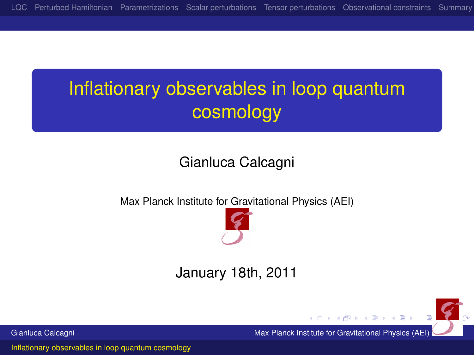# Inflationary observables in loop quantum cosmology

#### Gianluca Calcagni

Max Planck Institute for Gravitational Physics (AEI)



#### January 18th, 2011

Gianluca Calcagni **Max Planck Institute for Gravitational Physics (AEI)** Max Planck Institute for Gravitational Physics (AEI)

<span id="page-0-0"></span> $(0,1)$   $(0,1)$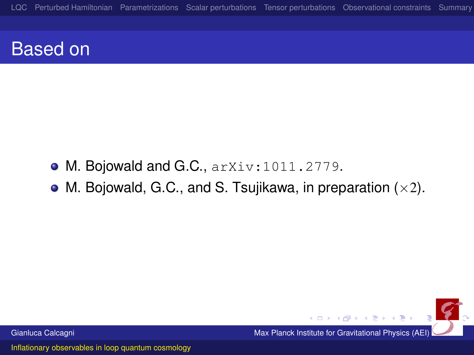## Based on

- M. Bojowald and G.C., arXiv:1011.2779.
- M. Bojowald, G.C., and S. Tsujikawa, in preparation  $(x2)$ .

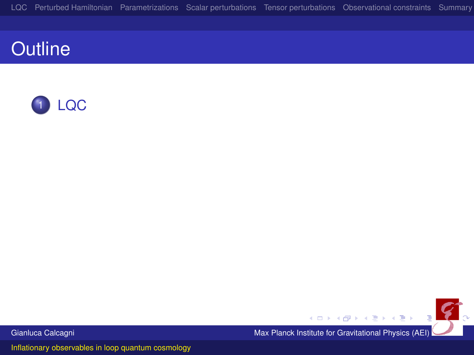

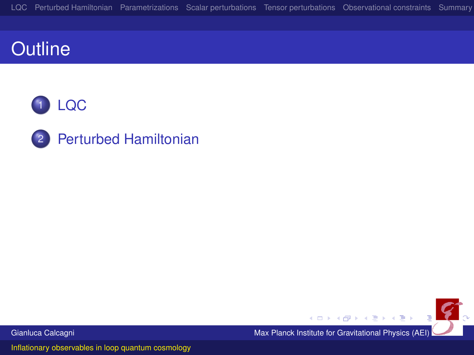



2 [Perturbed Hamiltonian](#page-11-0)

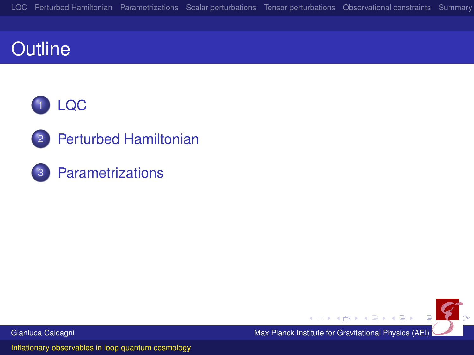



**[Parametrizations](#page-15-0)** 

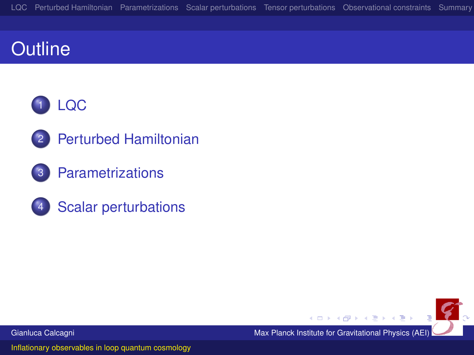

- 2 [Perturbed Hamiltonian](#page-11-0)
- **[Parametrizations](#page-15-0)**
- [Scalar perturbations](#page-18-0)

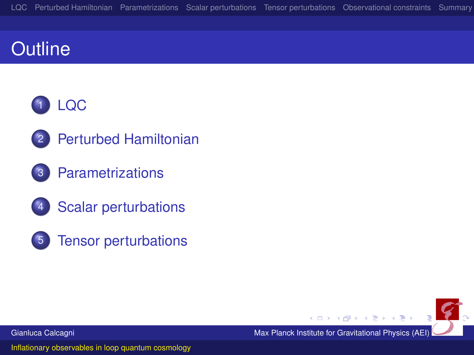

- 2 [Perturbed Hamiltonian](#page-11-0)
- **[Parametrizations](#page-15-0)**
- **[Scalar perturbations](#page-18-0)**
- 5 [Tensor perturbations](#page-27-0)

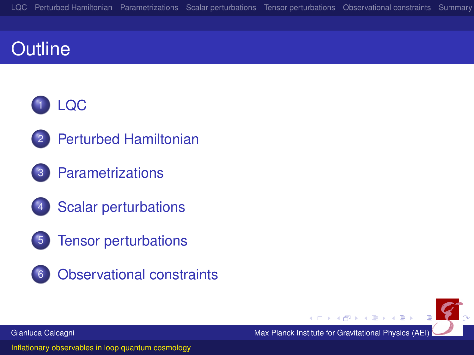

- [Perturbed Hamiltonian](#page-11-0)
- **[Parametrizations](#page-15-0)**
- **[Scalar perturbations](#page-18-0)**
- 5 [Tensor perturbations](#page-27-0)
- 6 [Observational constraints](#page-30-0)

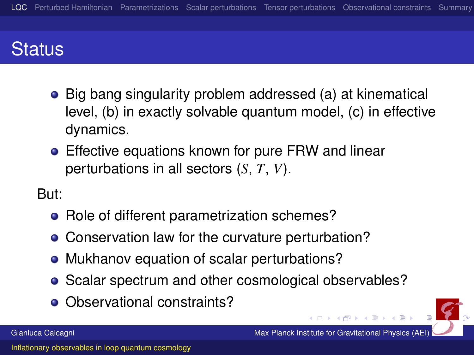# **Status**

- Big bang singularity problem addressed (a) at kinematical level, (b) in exactly solvable quantum model, (c) in effective dynamics.
- **•** Effective equations known for pure FRW and linear perturbations in all sectors (*S*, *T*, *V*).

But:

- Role of different parametrization schemes?
- Conservation law for the curvature perturbation?
- Mukhanov equation of scalar perturbations?
- Scalar spectrum and other cosmological observables?
- <span id="page-8-0"></span>• Observational constraints?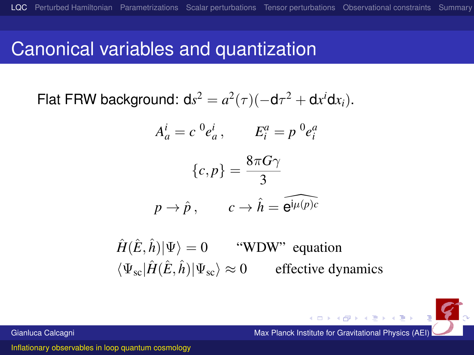#### Canonical variables and quantization

Flat FRW background: 
$$
ds^2 = a^2(\tau)(-d\tau^2 + dx^i dx_i)
$$
.

$$
A_a^i = c^0 e_a^i, \qquad E_i^a = p^0 e_i^a
$$

$$
\{c, p\} = \frac{8\pi G\gamma}{3}
$$

$$
p \to \hat{p}, \qquad c \to \hat{h} = \widehat{e^{j\mu(p)c}}
$$

 $\hat{H}(\hat{E}, \hat{h})|\Psi\rangle = 0$  "WDW" equation  $\langle \Psi_{\rm sc} | \hat{H}(\hat{E}, \hat{h}) | \Psi_{\rm sc} \rangle \approx 0$  effective dynamics

Gianluca Calcagni Max Planck Institute for Gravitational Physics (AEI)

 $\left\{ \begin{array}{ccc} 1 & 0 & 0 \\ 0 & 1 & 0 \\ 0 & 0 & 0 \end{array} \right.$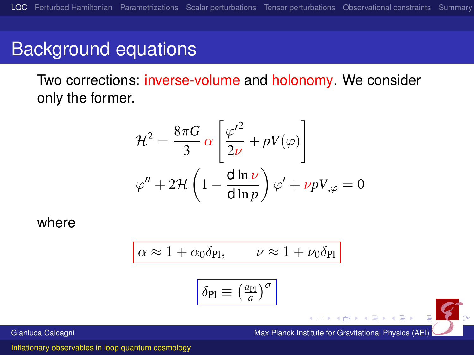## Background equations

Two corrections: inverse-volume and holonomy. We consider only the former.

$$
\mathcal{H}^2 = \frac{8\pi G}{3} \alpha \left[ \frac{\varphi'^2}{2\nu} + pV(\varphi) \right]
$$

$$
\varphi'' + 2\mathcal{H} \left( 1 - \frac{d \ln \nu}{d \ln p} \right) \varphi' + \nu p V_{,\varphi} = 0
$$

where

$$
\alpha \approx 1 + \alpha_0 \delta_{\text{Pl}}, \qquad \nu \approx 1 + \nu_0 \delta_{\text{Pl}}
$$

$$
\delta_{\text{Pl}} \equiv \left(\frac{a_{\text{Pl}}}{a}\right)^{\sigma}
$$

Gianluca Calcagni Max Planck Institute for Gravitational Physics (AEI)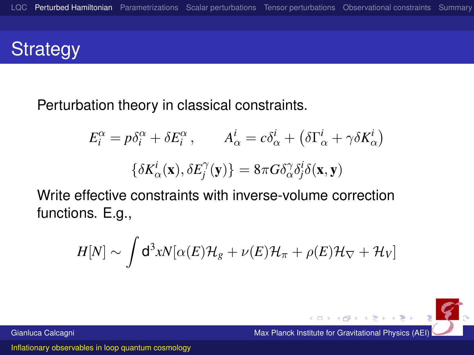# **Strategy**

Perturbation theory in classical constraints.

$$
E_i^{\alpha} = p\delta_i^{\alpha} + \delta E_i^{\alpha}, \qquad A_{\alpha}^{i} = c\delta_{\alpha}^{i} + (\delta \Gamma_{\alpha}^{i} + \gamma \delta K_{\alpha}^{i})
$$

$$
\{\delta K_{\alpha}^{i}(\mathbf{x}), \delta E_j^{\gamma}(\mathbf{y})\} = 8\pi G \delta_{\alpha}^{\gamma} \delta_j^{i} \delta(\mathbf{x}, \mathbf{y})
$$

Write effective constraints with inverse-volume correction functions. E.g.,

$$
H[N] \sim \int d^3x N[\alpha(E)\mathcal{H}_g + \nu(E)\mathcal{H}_\pi + \rho(E)\mathcal{H}_\nabla + \mathcal{H}_V]
$$

Gianluca Calcagni Max Planck Institute for Gravitational Physics (AEI)

<span id="page-11-0"></span>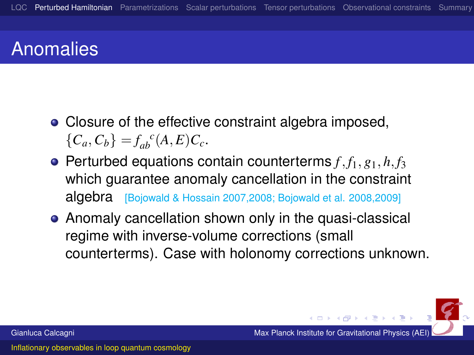# Anomalies

- Closure of the effective constraint algebra imposed,  ${C_a, C_b} = f_{ab}^c(A, E)C_c.$
- $\bullet$  Perturbed equations contain counterterms  $f, f_1, g_1, h, f_3$ which guarantee anomaly cancellation in the constraint algebra [Bojowald & Hossain 2007,2008; Bojowald et al. 2008,2009]
- Anomaly cancellation shown only in the quasi-classical regime with inverse-volume corrections (small counterterms). Case with holonomy corrections unknown.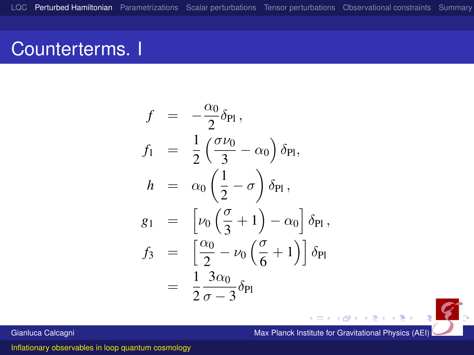## Counterterms. I

$$
f = -\frac{\alpha_0}{2}\delta_{\text{Pl}},
$$
  
\n
$$
f_1 = \frac{1}{2} \left( \frac{\sigma \nu_0}{3} - \alpha_0 \right) \delta_{\text{Pl}},
$$
  
\n
$$
h = \alpha_0 \left( \frac{1}{2} - \sigma \right) \delta_{\text{Pl}},
$$
  
\n
$$
g_1 = \left[ \nu_0 \left( \frac{\sigma}{3} + 1 \right) - \alpha_0 \right] \delta_{\text{Pl}},
$$
  
\n
$$
f_3 = \left[ \frac{\alpha_0}{2} - \nu_0 \left( \frac{\sigma}{6} + 1 \right) \right] \delta_{\text{Pl}}
$$
  
\n
$$
= \frac{1}{2} \frac{3\alpha_0}{\sigma - 3} \delta_{\text{Pl}}
$$

 $\leftarrow$   $\leftarrow$   $\leftarrow$ Gianluca Calcagni Max Planck Institute for Gravitational Physics (AEI)

 $\leftarrow$   $\Box$ 

ミドメ ミト

 $\boldsymbol{z}$ 

[Inflationary observables in loop quantum cosmology](#page-0-0)

 $\cdot$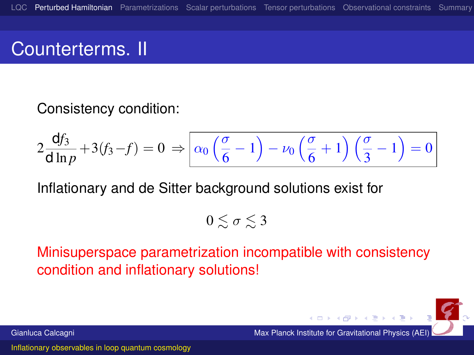## Counterterms. II

#### Consistency condition:

$$
2\frac{\mathrm{d}f_3}{\mathrm{d}\ln p} + 3(f_3 - f) = 0 \Rightarrow \boxed{\alpha_0\left(\frac{\sigma}{6} - 1\right) - \nu_0\left(\frac{\sigma}{6} + 1\right)\left(\frac{\sigma}{3} - 1\right) = 0}
$$

Inflationary and de Sitter background solutions exist for

$$
0\lesssim\sigma\lesssim3
$$

Minisuperspace parametrization incompatible with consistency condition and inflationary solutions!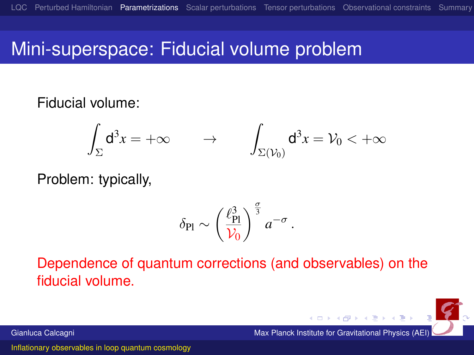## Mini-superspace: Fiducial volume problem

Fiducial volume:

$$
\int_{\Sigma} \mathsf{d}^3 x = +\infty \qquad \to \qquad \int_{\Sigma(\mathcal{V}_0)} \mathsf{d}^3 x = \mathcal{V}_0 < +\infty
$$

Problem: typically,

<span id="page-15-0"></span>
$$
\delta_{\rm Pl} \sim \left(\frac{\ell_{\rm Pl}^3}{\mathcal{V}_0}\right)^{\frac{\sigma}{3}} a^{-\sigma}.
$$

Dependence of quantum corrections (and observables) on the fiducial volume.

 $(0.12)$   $(0.12)$ Gianluca Calcagni Max Planck Institute for Gravitational Physics (AEI)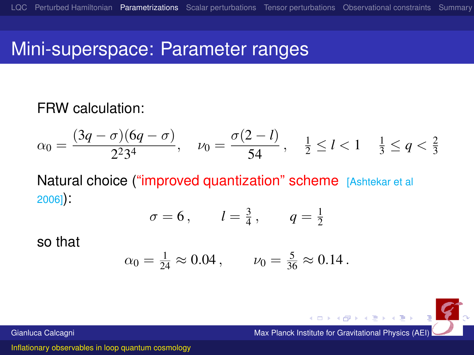## Mini-superspace: Parameter ranges

#### FRW calculation:

$$
\alpha_0 = \frac{(3q - \sigma)(6q - \sigma)}{2^2 3^4}, \quad \nu_0 = \frac{\sigma(2 - l)}{54}, \quad \frac{1}{2} \le l < 1 \quad \frac{1}{3} \le q < \frac{2}{3}
$$

Natural choice ("improved quantization" scheme [Ashtekar et all 2006]):

$$
\sigma = 6
$$
,  $l = \frac{3}{4}$ ,  $q = \frac{1}{2}$ 

so that

$$
\alpha_0 = \frac{1}{24} \approx 0.04
$$
,  $\nu_0 = \frac{5}{36} \approx 0.14$ .

Gianluca Calcagni Max Planck Institute for Gravitational Physics (AEI)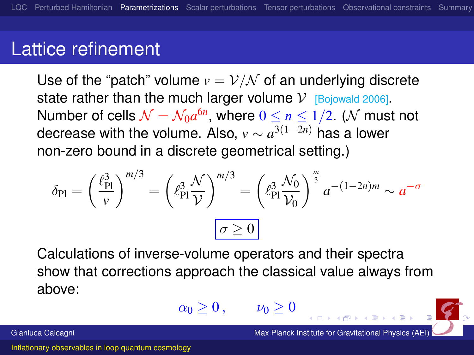#### Lattice refinement

Use of the "patch" volume  $v = \frac{\nu}{N}$  of an underlying discrete state rather than the much larger volume  $V$  [Bojowald 2006]. Number of cells  $\mathcal{N}=\mathcal{N}_0a^{6n},$  where  $0\leq n\leq 1/2.$   $(\mathcal{N}% _{5n})^{3n}$  must not decrease with the volume. Also, *v* ∼ *a* <sup>3</sup>(1−2*n*) has a lower non-zero bound in a discrete geometrical setting.)

$$
\delta_{\text{Pl}} = \left(\frac{\ell_{\text{Pl}}^3}{\nu}\right)^{m/3} = \left(\ell_{\text{Pl}}^3 \frac{\mathcal{N}}{\mathcal{V}}\right)^{m/3} = \left(\ell_{\text{Pl}}^3 \frac{\mathcal{N}_0}{\mathcal{V}_0}\right)^{\frac{m}{3}} a^{-(1-2n)m} \sim a^{-\sigma}
$$

Calculations of inverse-volume operators and their spectra show that corrections approach the classical value always from above:

<span id="page-17-0"></span>
$$
\alpha_0\geq 0\,,\qquad \nu_0\geq 0\,
$$

Gianluca Calcagni **Max Planck Institute for Gravitational Physics (AE**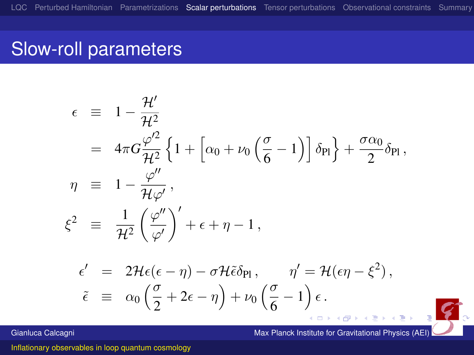## Slow-roll parameters

$$
\epsilon = 1 - \frac{\mathcal{H}'}{\mathcal{H}^2}
$$
\n
$$
= 4\pi G \frac{\varphi'^2}{\mathcal{H}^2} \left\{ 1 + \left[ \alpha_0 + \nu_0 \left( \frac{\sigma}{6} - 1 \right) \right] \delta_{\text{Pl}} \right\} + \frac{\sigma \alpha_0}{2} \delta_{\text{Pl}},
$$
\n
$$
\eta = 1 - \frac{\varphi''}{\mathcal{H}\varphi'},
$$
\n
$$
\xi^2 = \frac{1}{\mathcal{H}^2} \left( \frac{\varphi''}{\varphi'} \right)' + \epsilon + \eta - 1,
$$
\n
$$
\epsilon' = 2\mathcal{H}\epsilon(\epsilon - \eta) - \sigma \mathcal{H}\tilde{\epsilon}\delta_{\text{Pl}}, \qquad \eta' = \mathcal{H}(\epsilon \eta - \xi^2),
$$
\n
$$
\tilde{\epsilon} \equiv \alpha_0 \left( \frac{\sigma}{2} + 2\epsilon - \eta \right) + \nu_0 \left( \frac{\sigma}{6} - 1 \right) \epsilon.
$$

Gianluca Calcagni Max Planck Institute for Gravitational Physics (AEI)

<span id="page-18-0"></span> $(1)$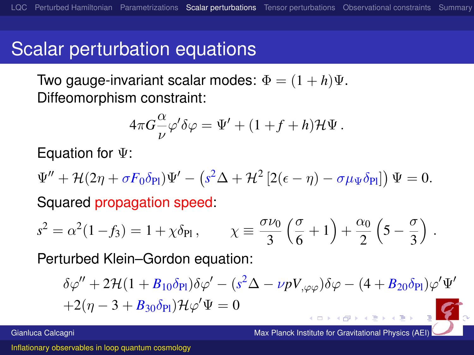## Scalar perturbation equations

Two gauge-invariant scalar modes:  $\Phi = (1 + h)\Psi$ . Diffeomorphism constraint:

$$
4\pi G \frac{\alpha}{\nu} \varphi' \delta \varphi = \Psi' + (1 + f + h) \mathcal{H} \Psi.
$$

Equation for Ψ:

 $\Psi'' + {\cal H} (2\eta + \sigma F_0 \delta_{\rm Pl}) \Psi' - \left( s^2 \Delta + {\cal H}^2 \left[ 2 (\epsilon - \eta) - \sigma \mu_\Psi \delta_{\rm Pl} \right] \right) \Psi = 0.$ 

Squared propagation speed:

$$
s^2 = \alpha^2 (1 - f_3) = 1 + \chi \delta_{\text{Pl}} , \qquad \chi \equiv \frac{\sigma \nu_0}{3} \left( \frac{\sigma}{6} + 1 \right) + \frac{\alpha_0}{2} \left( 5 - \frac{\sigma}{3} \right) .
$$

Perturbed Klein–Gordon equation:

$$
\delta\varphi'' + 2\mathcal{H}(1 + B_{10}\delta_{\text{Pl}})\delta\varphi' - (s^2\Delta - \nu pV_{,\varphi\varphi})\delta\varphi - (4 + B_{20}\delta_{\text{Pl}})\varphi'\Psi' + 2(\eta - 3 + B_{30}\delta_{\text{Pl}})\mathcal{H}\varphi'\Psi = 0
$$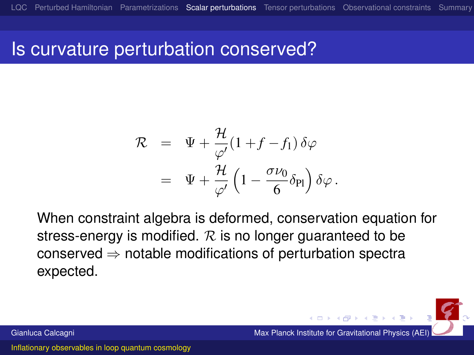#### Is curvature perturbation conserved?

$$
\mathcal{R} = \Psi + \frac{\mathcal{H}}{\varphi'} (1 + f - f_1) \delta \varphi
$$
  
= 
$$
\Psi + \frac{\mathcal{H}}{\varphi'} \left( 1 - \frac{\sigma \nu_0}{6} \delta_{\text{Pl}} \right) \delta \varphi.
$$

When constraint algebra is deformed, conservation equation for stress-energy is modified.  $R$  is no longer guaranteed to be conserved  $\Rightarrow$  notable modifications of perturbation spectra expected.

Gianluca Calcagni **Max Planck Institute for Gravitational Physics (AEI)** Max Planck Institute for Gravitational Physics (AEI)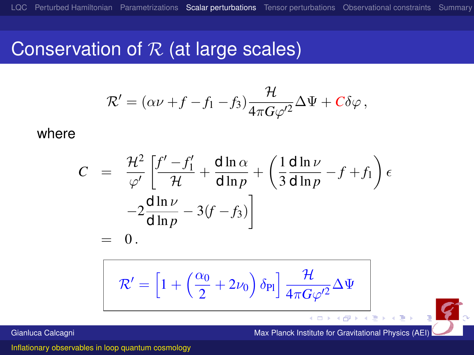#### Conservation of  $R$  (at large scales)

$$
\mathcal{R}' = (\alpha \nu + f - f_1 - f_3) \frac{\mathcal{H}}{4\pi G \varphi'^2} \Delta \Psi + C \delta \varphi ,
$$

where

$$
C = \frac{\mathcal{H}^2}{\varphi'} \left[ \frac{f' - f_1'}{\mathcal{H}} + \frac{d \ln \alpha}{d \ln p} + \left( \frac{1}{3} \frac{d \ln \nu}{d \ln p} - f + f_1 \right) \epsilon - 2 \frac{d \ln \nu}{d \ln p} - 3(f - f_3) \right] = 0.
$$

$$
\mathcal{R}' = \left[1 + \left(\frac{\alpha_0}{2} + 2\nu_0\right)\delta_{\text{Pl}}\right]\frac{\mathcal{H}}{4\pi G \varphi'^2} \Delta \Psi
$$

 $\leftarrow$ Gianluca Calcagni Max Planck Institute for Gravitational Physics (AEI)

<span id="page-21-0"></span> $\leftarrow$   $\Box$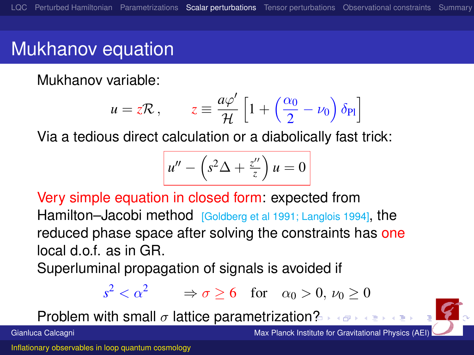# Mukhanov equation

Mukhanov variable:

$$
u = z\mathcal{R}, \qquad z \equiv \frac{a\varphi'}{\mathcal{H}} \left[ 1 + \left( \frac{\alpha_0}{2} - \nu_0 \right) \delta_{\text{Pl}} \right]
$$

Via a tedious direct calculation or a diabolically fast trick:

$$
u'' - \left(s^2 \Delta + \frac{z''}{z}\right)u = 0
$$

Very simple equation in closed form: expected from Hamilton–Jacobi method [Goldberg et al 1991; Langlois 1994], the reduced phase space after solving the constraints has one local d.o.f. as in GR.

Superluminal propagation of signals is avoided if

$$
s^2 < \alpha^2 \qquad \Rightarrow \sigma \ge 6 \quad \text{for} \quad \alpha_0 > 0, \ \nu_0 \ge 0
$$

Problem with small  $\sigma$  lattice parametrizatio[n?](#page-21-0)



Gianluca Calcagni Max Planck Institute for Gravitational Physics (AEI)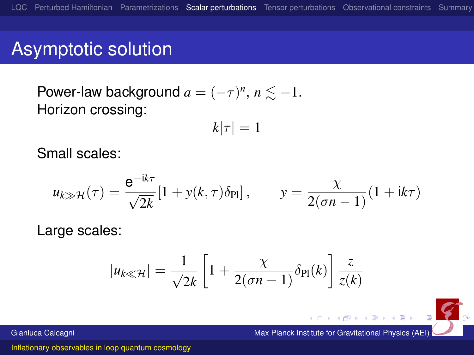## Asymptotic solution

Power-law background  $a = (-\tau)^n$ ,  $n \lesssim -1$ . Horizon crossing:

$$
k|\tau|=1
$$

Small scales:

$$
u_{k\gg\mathcal{H}}(\tau) = \frac{e^{-ik\tau}}{\sqrt{2k}} [1 + y(k,\tau)\delta_{\text{Pl}}], \qquad y = \frac{\chi}{2(\sigma n - 1)} (1 + ik\tau)
$$

Large scales:

$$
|u_{k\ll \mathcal{H}}| = \frac{1}{\sqrt{2k}} \left[ 1 + \frac{\chi}{2(\sigma n - 1)} \delta_{\text{Pl}}(k) \right] \frac{z}{z(k)}
$$

Gianluca Calcagni Max Planck Institute for Gravitational Physics (AEI)

 $(0 \times 0)$   $(0 \times 0)$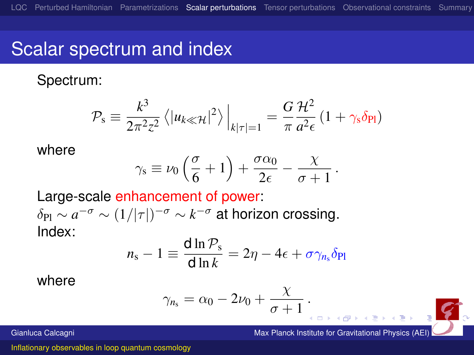## Scalar spectrum and index

Spectrum:

$$
\mathcal{P}_{\rm s} \equiv \frac{k^3}{2\pi^2 z^2} \left\langle |u_{k\ll \mathcal{H}}|^2 \right\rangle \Big|_{k|\tau|=1} = \frac{G}{\pi} \frac{\mathcal{H}^2}{a^2 \epsilon} \left( 1 + \gamma_{\rm s} \delta_{\rm Pl} \right)
$$

where

$$
\gamma_s \equiv \nu_0 \left( \frac{\sigma}{6} + 1 \right) + \frac{\sigma \alpha_0}{2\epsilon} - \frac{\chi}{\sigma + 1}
$$

Large-scale enhancement of power:  $\delta_\text{Pl}\sim a^{-\sigma}\sim (1/|\tau|)^{-\sigma}\sim k^{-\sigma}$  at horizon crossing. Index:

$$
n_{\rm s}-1\equiv\frac{\text{d}\ln\mathcal{P}_{\rm s}}{\text{d}\ln k}=2\eta-4\epsilon+\sigma\gamma_{n_{\rm s}}\delta_{\rm Pl}
$$

where

$$
\gamma_{n_{\rm s}}=\alpha_0-2\nu_0+\frac{\chi}{\sigma+1}.
$$

<span id="page-24-0"></span>χ

.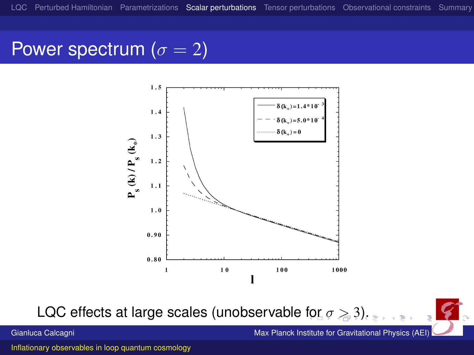#### Power spectrum ( $\sigma = 2$ )



LQC effects at large scales (unobservable [fo](#page-24-0)r $\sigma \geq 3$  $\sigma \geq 3$ [\).](#page-17-0)

<span id="page-25-0"></span>

Gianluca Calcagni Max Planck Institute for Gravitational Physics (AEI)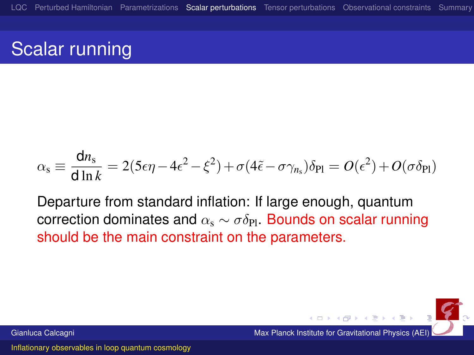# Scalar running

$$
\alpha_{\rm s} \equiv \frac{\mathsf{d}n_{\rm s}}{\mathsf{d}\ln k} = 2(5\epsilon\eta - 4\epsilon^2 - \xi^2) + \sigma(4\tilde{\epsilon} - \sigma\gamma_{n_{\rm s}})\delta_{\rm Pl} = O(\epsilon^2) + O(\sigma\delta_{\rm Pl})
$$

Departure from standard inflation: If large enough, quantum correction dominates and  $\alpha_s \sim \sigma \delta_{\text{Pl}}$ . Bounds on scalar running should be the main constraint on the parameters.



<span id="page-26-0"></span>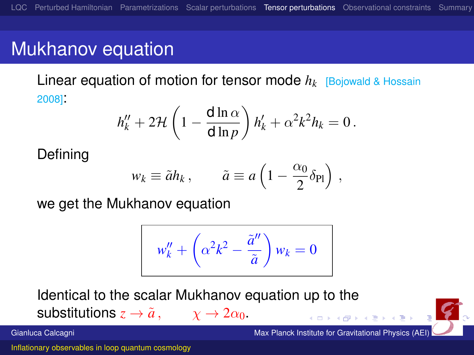# Mukhanov equation

Linear equation of motion for tensor mode *h<sup>k</sup>* [Bojowald & Hossain 2008]:

$$
h''_k + 2\mathcal{H}\left(1 - \frac{\mathrm{d}\ln\alpha}{\mathrm{d}\ln p}\right)h'_k + \alpha^2k^2h_k = 0.
$$

Defining

$$
w_k \equiv \tilde{a} h_k \,, \qquad \tilde{a} \equiv a \left( 1 - \frac{\alpha_0}{2} \delta_{\rm Pl} \right) \,,
$$

we get the Mukhanov equation

<span id="page-27-0"></span>
$$
w''_k + \left(\alpha^2 k^2 - \frac{\tilde{a}''}{\tilde{a}}\right) w_k = 0
$$

Identical to the scalar Mukhanov equation up to the substitutions  $z \to \tilde{a}$ ,  $\chi \to 2\alpha_0$ .

Gianluca Calcagni Max Planck Institute for Gravitational Physics (AEI)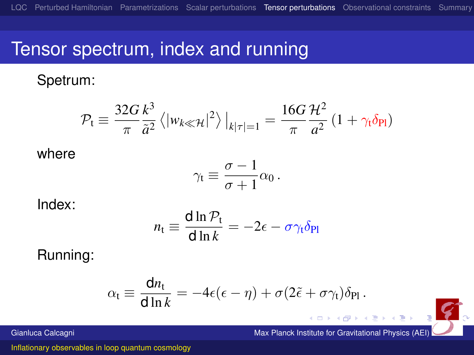#### Tensor spectrum, index and running

Spetrum:

$$
\mathcal{P}_{t} \equiv \frac{32G}{\pi} \frac{k^3}{\tilde{a}^2} \left\langle |w_{k\ll \mathcal{H}}|^2 \right\rangle \Big|_{k|\tau|=1} = \frac{16G}{\pi} \frac{\mathcal{H}^2}{a^2} \left( 1 + \gamma_t \delta_{\text{Pl}} \right)
$$

where

$$
\gamma_t \equiv \frac{\sigma - 1}{\sigma + 1} \alpha_0 \, .
$$

Index:

$$
n_{\rm t} \equiv \frac{\mathrm{d} \ln \mathcal{P}_{\rm t}}{\mathrm{d} \ln k} = -2\epsilon - \sigma \gamma_{\rm t} \delta_{\rm Pl}
$$

Running:

$$
\alpha_t \equiv \frac{\mathrm{d}n_t}{\mathrm{d}\ln k} = -4\epsilon(\epsilon - \eta) + \sigma(2\tilde{\epsilon} + \sigma\gamma_t)\delta_{\text{Pl}}\,.
$$



Gianluca Calcagni Max Planck Institute for Gravitational Physics (AEI)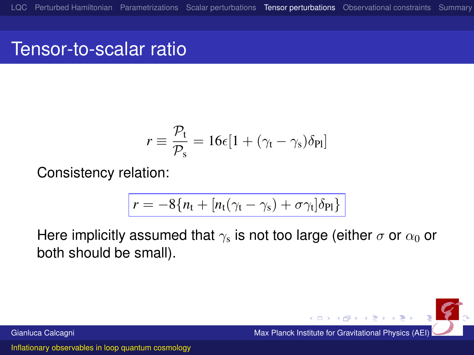## Tensor-to-scalar ratio

$$
r \equiv \frac{\mathcal{P}_{t}}{\mathcal{P}_{s}} = 16\epsilon[1 + (\gamma_{t} - \gamma_{s})\delta_{\text{Pl}}]
$$

Consistency relation:

$$
r = -8\{n_t + [n_t(\gamma_t - \gamma_s) + \sigma \gamma_t]\delta_{Pl}\}
$$

Here implicitly assumed that  $\gamma_{\rm s}$  is not too large (either  $\sigma$  or  $\alpha_0$  or both should be small).

Gianluca Calcagni Max Planck Institute for Gravitational Physics (AEI)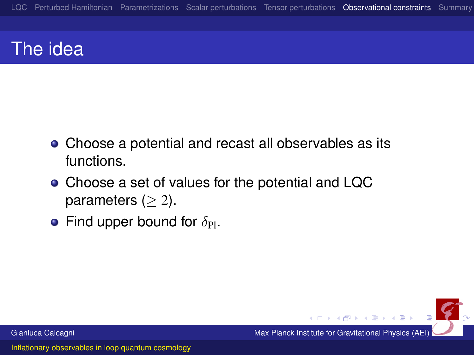# The idea

- Choose a potential and recast all observables as its functions.
- Choose a set of values for the potential and LQC parameters ( $\geq$  2).
- <span id="page-30-0"></span>**•** Find upper bound for  $\delta_{\text{Pl}}$ .

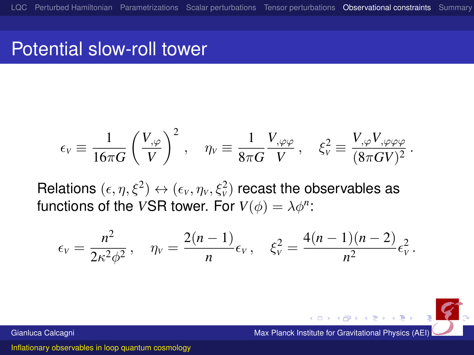#### Potential slow-roll tower

$$
\epsilon_V \equiv \frac{1}{16\pi G} \left(\frac{V_{,\varphi}}{V}\right)^2 \,, \quad \eta_V \equiv \frac{1}{8\pi G} \frac{V_{,\varphi\varphi}}{V} \,, \quad \xi_V^2 \equiv \frac{V_{,\varphi} V_{,\varphi\varphi\varphi}}{(8\pi G V)^2} \,.
$$

Relations  $(\epsilon, \eta, \xi^2) \leftrightarrow (\epsilon_{\rm v}, \eta_{\rm v}, \xi_{\rm v}^2)$  recast the observables as functions of the *VSR* tower. For  $V(\phi) = \lambda \phi^n$ :

$$
\epsilon_V = \frac{n^2}{2\kappa^2\phi^2}, \quad \eta_V = \frac{2(n-1)}{n}\epsilon_V, \quad \xi_V^2 = \frac{4(n-1)(n-2)}{n^2}\epsilon_V^2.
$$

Gianluca Calcagni Max Planck Institute for Gravitational Physics (AEI)

←ロ→ ←何→ ←ミ→ ←ミ→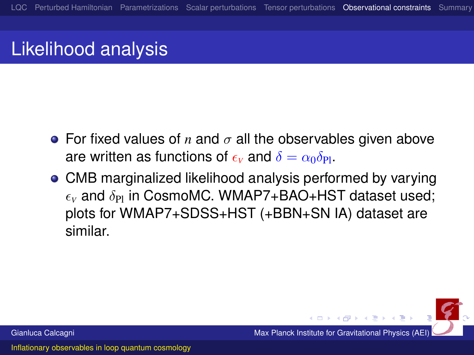## Likelihood analysis

- **•** For fixed values of *n* and  $\sigma$  all the observables given above are written as functions of  $\epsilon_{\rm v}$  and  $\delta = \alpha_0 \delta_{\rm Pl}$ .
- CMB marginalized likelihood analysis performed by varying  $\epsilon_{\rm v}$  and  $\delta_{\rm Pl}$  in CosmoMC. WMAP7+BAO+HST dataset used; plots for WMAP7+SDSS+HST (+BBN+SN IA) dataset are similar.

Gianluca Calcagni **Max Planck Institute for Gravitational Physics (AEI)** Max Planck Institute for Gravitational Physics (AEI)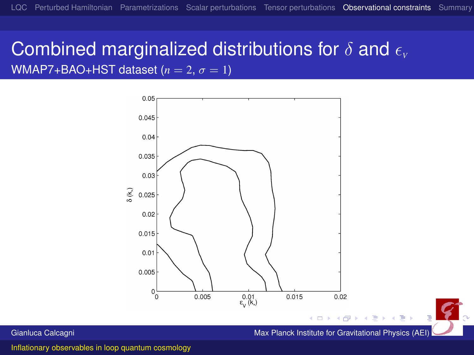#### Combined marginalized distributions for  $\delta$  and  $\epsilon$ WMAP7+BAO+HST dataset  $(n = 2, \sigma = 1)$



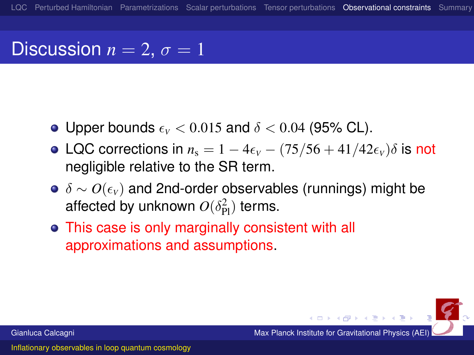## Discussion  $n = 2$ ,  $\sigma = 1$

- Upper bounds  $\epsilon_v < 0.015$  and  $\delta < 0.04$  (95% CL).
- LQC corrections in  $n_s = 1 4\epsilon_v (75/56 + 41/42\epsilon_v)\delta$  is not negligible relative to the SR term.
- **•** δ ∼ *O*( $\epsilon$ <sub>V</sub>) and 2nd-order observables (runnings) might be affected by unknown  $O(\delta_{\rm Pl}^2)$  terms.
- This case is only marginally consistent with all approximations and assumptions.

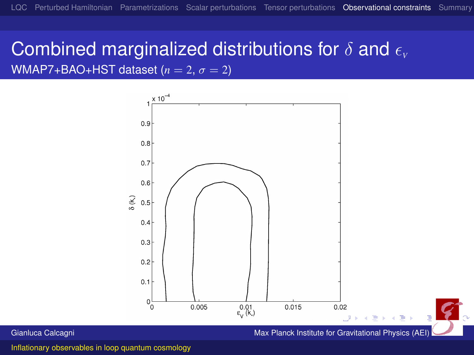#### Combined marginalized distributions for  $\delta$  and  $\epsilon$ WMAP7+BAO+HST dataset  $(n = 2, \sigma = 2)$



Gianluca Calcagni Max Planck Institute for Gravitational Physics (AEI)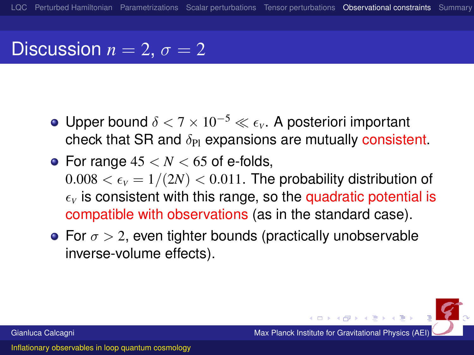## Discussion  $n = 2$ ,  $\sigma = 2$

- **•** Upper bound δ < 7 × 10<sup>-5</sup> ≪ ε<sub>ν</sub>. A posteriori important check that SR and  $\delta_{\text{Pl}}$  expansions are mutually consistent.
- For range  $45 < N < 65$  of e-folds,  $0.008 < \epsilon_{\rm V} = 1/(2N) < 0.011$ . The probability distribution of  $\epsilon$ <sub>v</sub> is consistent with this range, so the quadratic potential is compatible with observations (as in the standard case).
- For  $\sigma > 2$ , even tighter bounds (practically unobservable inverse-volume effects).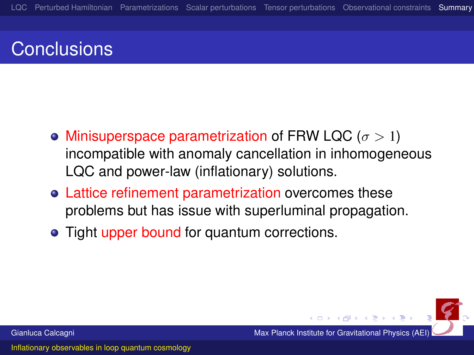# **Conclusions**

- Minisuperspace parametrization of FRW LQC ( $\sigma > 1$ ) incompatible with anomaly cancellation in inhomogeneous LQC and power-law (inflationary) solutions.
- Lattice refinement parametrization overcomes these problems but has issue with superluminal propagation.
- <span id="page-37-0"></span>• Tight upper bound for quantum corrections.

Gianluca Calcagni Max Planck Institute for Gravitational Physics (AEI)